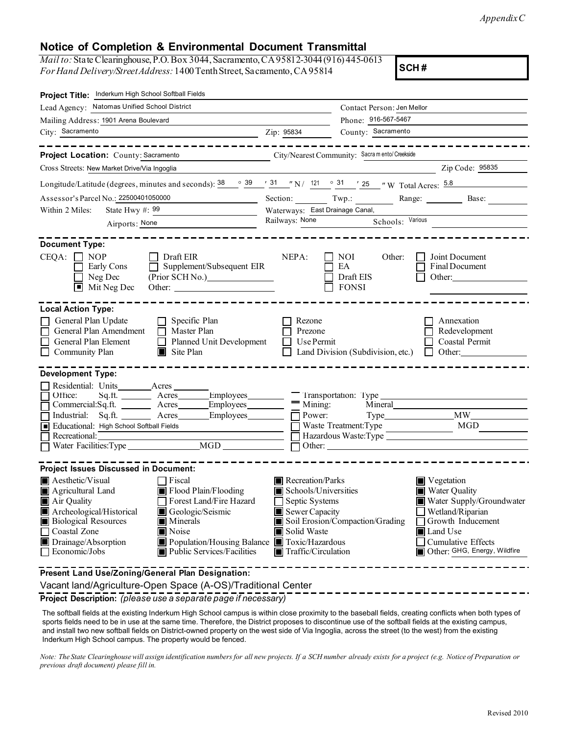*Appendix C* 

## **Notice of Completion & Environmental Document Transmittal**

| <i>Mail to:</i> State Clearinghouse, P.O. Box 3044, Sacramento, CA 95812-3044 (916) 445-0613 |  |
|----------------------------------------------------------------------------------------------|--|
| For Hand Delivery/Street Address: 1400 Tenth Street, Sacramento, CA95814                     |  |

**SCH #** 

| Project Title: Inderkum High School Softball Fields                                                                                                                                                                                                                                                                                                                                              |                                                                                                                                                                      |                                                                                                      |                                                                                                                                                                                            |  |  |  |
|--------------------------------------------------------------------------------------------------------------------------------------------------------------------------------------------------------------------------------------------------------------------------------------------------------------------------------------------------------------------------------------------------|----------------------------------------------------------------------------------------------------------------------------------------------------------------------|------------------------------------------------------------------------------------------------------|--------------------------------------------------------------------------------------------------------------------------------------------------------------------------------------------|--|--|--|
| Lead Agency: Natomas Unified School District                                                                                                                                                                                                                                                                                                                                                     |                                                                                                                                                                      | Contact Person: Jen Mellor                                                                           |                                                                                                                                                                                            |  |  |  |
| Mailing Address: 1901 Arena Boulevard                                                                                                                                                                                                                                                                                                                                                            |                                                                                                                                                                      | Phone: 916-567-5467                                                                                  |                                                                                                                                                                                            |  |  |  |
| City: Sacramento                                                                                                                                                                                                                                                                                                                                                                                 | Zip: 95834                                                                                                                                                           | County: Sacramento                                                                                   |                                                                                                                                                                                            |  |  |  |
| - - - <b>- - - - - - -</b> -<br>Project Location: County: Sacramento                                                                                                                                                                                                                                                                                                                             |                                                                                                                                                                      | City/Nearest Community: Sacra m ento/Creekside                                                       |                                                                                                                                                                                            |  |  |  |
| Cross Streets: New Market Drive/Via Ingoglia                                                                                                                                                                                                                                                                                                                                                     |                                                                                                                                                                      |                                                                                                      | Zip Code: <u>95835</u>                                                                                                                                                                     |  |  |  |
| Longitude/Latitude (degrees, minutes and seconds): $\frac{38}{9}$ $\frac{39}{1}$ $\frac{31}{1}$ $\frac{31}{1}$ N / $\frac{121}{1}$ $\frac{31}{1}$ $\frac{31}{25}$ $\frac{7}{1}$ W Total Acres: $\frac{5.8}{1}$                                                                                                                                                                                   |                                                                                                                                                                      |                                                                                                      |                                                                                                                                                                                            |  |  |  |
| Assessor's Parcel No.: 22500401050000                                                                                                                                                                                                                                                                                                                                                            |                                                                                                                                                                      |                                                                                                      | Section: Twp.: Range: Base: Base:                                                                                                                                                          |  |  |  |
| Within 2 Miles:<br>State Hwy #: 99                                                                                                                                                                                                                                                                                                                                                               | Waterways: East Drainage Canal,                                                                                                                                      |                                                                                                      |                                                                                                                                                                                            |  |  |  |
| Airports: None                                                                                                                                                                                                                                                                                                                                                                                   |                                                                                                                                                                      | Railways: None<br>Schools: Various                                                                   |                                                                                                                                                                                            |  |  |  |
| <b>Document Type:</b>                                                                                                                                                                                                                                                                                                                                                                            |                                                                                                                                                                      |                                                                                                      |                                                                                                                                                                                            |  |  |  |
| $CEQA: \Box NP$<br>$\Box$ Draft EIR<br>Early Cons<br>$\Box$ Supplement/Subsequent EIR<br>(Prior SCH No.)<br>Neg Dec<br>Mit Neg Dec<br>$\blacksquare$<br>Other:                                                                                                                                                                                                                                   | NEPA:                                                                                                                                                                | NOI<br>Other:<br>EA<br>Draft EIS<br><b>FONSI</b>                                                     | Joint Document<br>Final Document<br>Other:                                                                                                                                                 |  |  |  |
| <b>Local Action Type:</b><br>General Plan Update<br>$\Box$ Specific Plan<br>General Plan Amendment<br>$\Box$ Master Plan<br>General Plan Element<br>Planned Unit Development<br>Community Plan<br>$\blacksquare$ Site Plan                                                                                                                                                                       | Rezone<br>Prezone<br>Use Permit                                                                                                                                      | Land Division (Subdivision, etc.)                                                                    | Annexation<br>Redevelopment<br>Coastal Permit<br>$\Box$ Other:                                                                                                                             |  |  |  |
| <b>Development Type:</b>                                                                                                                                                                                                                                                                                                                                                                         |                                                                                                                                                                      |                                                                                                      |                                                                                                                                                                                            |  |  |  |
| Residential: Units_________Acres_________<br>Office:<br>Employees_<br>Commercial:Sq.ft. _______ Acres ______<br>Industrial: Sq.ft. ______ Acres<br>Employees<br>Educational: High School Softball Fields<br>Recretional:<br>Water Facilities: Type MGD                                                                                                                                           | Power:                                                                                                                                                               | Iransportation: lype<br>Mining:<br>Mineral<br>Waste Treatment:Type<br>Hazardous Waste:Type<br>Other: | MGD                                                                                                                                                                                        |  |  |  |
| <b>Project Issues Discussed in Document:</b>                                                                                                                                                                                                                                                                                                                                                     |                                                                                                                                                                      |                                                                                                      |                                                                                                                                                                                            |  |  |  |
| $\blacksquare$ Aesthetic/Visual<br>$\Box$ Fiscal<br>Flood Plain/Flooding<br>Agricultural Land<br>Forest Land/Fire Hazard<br>$\blacksquare$ Air Quality<br>Archeological/Historical<br>Geologic/Seismic<br><b>Biological Resources</b><br>Minerals<br>Coastal Zone<br>Noise<br>Drainage/Absorption<br>Population/Housing Balance Toxic/Hazardous<br>Economic/Jobs<br>■ Public Services/Facilities | Recreation/Parks<br>Schools/Universities<br>Septic Systems<br>Sewer Capacity<br>Soil Erosion/Compaction/Grading<br>Solid Waste<br>$\blacksquare$ Traffic/Circulation |                                                                                                      | $\blacksquare$ Vegetation<br>Water Quality<br>Water Supply/Groundwater<br>Wetland/Riparian<br>Growth Inducement<br><b>■</b> Land Use<br>Cumulative Effects<br>Other: GHG, Energy, Wildfire |  |  |  |
| Present Land Use/Zoning/General Plan Designation:<br>Vacant land/Agriculture-Open Space (A-OS)/Traditional Center                                                                                                                                                                                                                                                                                |                                                                                                                                                                      |                                                                                                      |                                                                                                                                                                                            |  |  |  |

**Project Description:** *(please use a separate page if necessary)* 

The softball fields at the existing Inderkum High School campus is within close proximity to the baseball fields, creating conflicts when both types of sports fields need to be in use at the same time. Therefore, the District proposes to discontinue use of the softball fields at the existing campus, and install two new softball fields on District-owned property on the west side of Via Ingoglia, across the street (to the west) from the existing Inderkum High School campus. The property would be fenced.

*Note: The State Clearinghouse will assign identification numbers for all new projects. If a SCH number already exists for a project (e.g. Notice of Preparation or previous draft document) please fill in.*